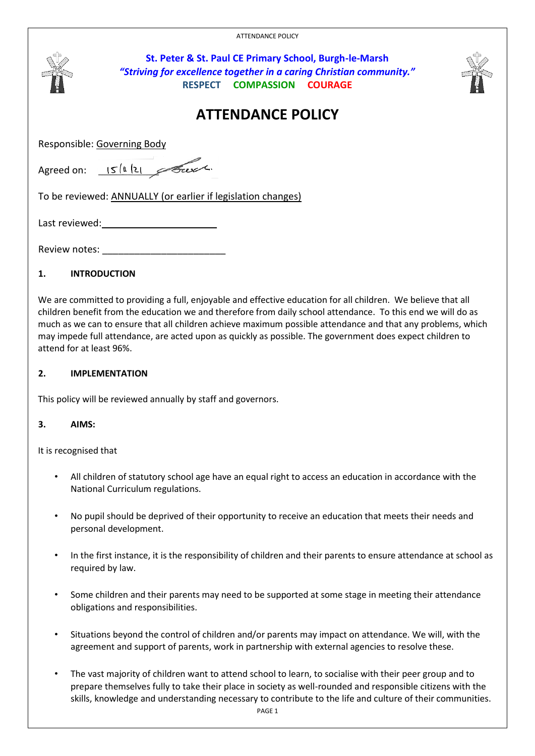ATTENDANCE POLICY



# **2. IMPLEMENTATION**

This policy will be reviewed annually by staff and governors.

# **3. AIMS:**

It is recognised that

- All children of statutory school age have an equal right to access an education in accordance with the National Curriculum regulations.
- No pupil should be deprived of their opportunity to receive an education that meets their needs and personal development.
- In the first instance, it is the responsibility of children and their parents to ensure attendance at school as required by law.
- Some children and their parents may need to be supported at some stage in meeting their attendance obligations and responsibilities.
- Situations beyond the control of children and/or parents may impact on attendance. We will, with the agreement and support of parents, work in partnership with external agencies to resolve these.
- The vast majority of children want to attend school to learn, to socialise with their peer group and to prepare themselves fully to take their place in society as well-rounded and responsible citizens with the skills, knowledge and understanding necessary to contribute to the life and culture of their communities.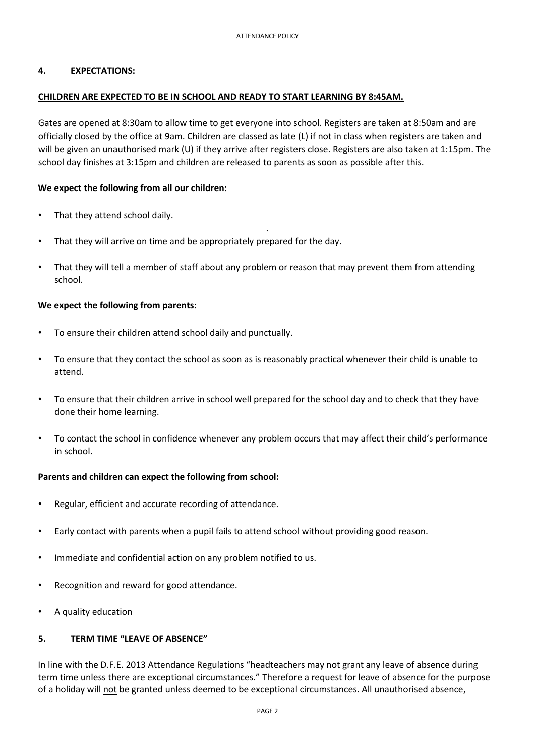#### **4. EXPECTATIONS:**

#### **CHILDREN ARE EXPECTED TO BE IN SCHOOL AND READY TO START LEARNING BY 8:45AM.**

Gates are opened at 8:30am to allow time to get everyone into school. Registers are taken at 8:50am and are officially closed by the office at 9am. Children are classed as late (L) if not in class when registers are taken and will be given an unauthorised mark (U) if they arrive after registers close. Registers are also taken at 1:15pm. The school day finishes at 3:15pm and children are released to parents as soon as possible after this.

#### **We expect the following from all our children:**

- That they attend school daily.
- That they will arrive on time and be appropriately prepared for the day.
- That they will tell a member of staff about any problem or reason that may prevent them from attending school.

.

#### **We expect the following from parents:**

- To ensure their children attend school daily and punctually.
- To ensure that they contact the school as soon as is reasonably practical whenever their child is unable to attend.
- To ensure that their children arrive in school well prepared for the school day and to check that they have done their home learning.
- To contact the school in confidence whenever any problem occurs that may affect their child's performance in school.

#### **Parents and children can expect the following from school:**

- Regular, efficient and accurate recording of attendance.
- Early contact with parents when a pupil fails to attend school without providing good reason.
- Immediate and confidential action on any problem notified to us.
- Recognition and reward for good attendance.
- A quality education

# **5. TERM TIME "LEAVE OF ABSENCE"**

In line with the D.F.E. 2013 Attendance Regulations "headteachers may not grant any leave of absence during term time unless there are exceptional circumstances." Therefore a request for leave of absence for the purpose of a holiday will not be granted unless deemed to be exceptional circumstances. All unauthorised absence,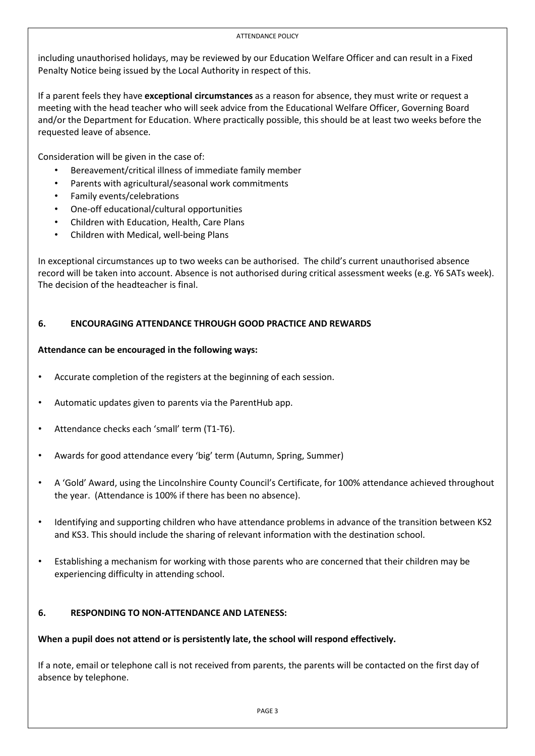#### ATTENDANCE POLICY

including unauthorised holidays, may be reviewed by our Education Welfare Officer and can result in a Fixed Penalty Notice being issued by the Local Authority in respect of this.

If a parent feels they have **exceptional circumstances** as a reason for absence, they must write or request a meeting with the head teacher who will seek advice from the Educational Welfare Officer, Governing Board and/or the Department for Education. Where practically possible, this should be at least two weeks before the requested leave of absence.

Consideration will be given in the case of:

- Bereavement/critical illness of immediate family member
- Parents with agricultural/seasonal work commitments
- Family events/celebrations
- One-off educational/cultural opportunities
- Children with Education, Health, Care Plans
- Children with Medical, well-being Plans

In exceptional circumstances up to two weeks can be authorised. The child's current unauthorised absence record will be taken into account. Absence is not authorised during critical assessment weeks (e.g. Y6 SATs week). The decision of the headteacher is final.

# **6. ENCOURAGING ATTENDANCE THROUGH GOOD PRACTICE AND REWARDS**

#### **Attendance can be encouraged in the following ways:**

- Accurate completion of the registers at the beginning of each session.
- Automatic updates given to parents via the ParentHub app.
- Attendance checks each 'small' term (T1-T6).
- Awards for good attendance every 'big' term (Autumn, Spring, Summer)
- A 'Gold' Award, using the Lincolnshire County Council's Certificate, for 100% attendance achieved throughout the year. (Attendance is 100% if there has been no absence).
- Identifying and supporting children who have attendance problems in advance of the transition between KS2 and KS3. This should include the sharing of relevant information with the destination school.
- Establishing a mechanism for working with those parents who are concerned that their children may be experiencing difficulty in attending school.

# **6. RESPONDING TO NON-ATTENDANCE AND LATENESS:**

# **When a pupil does not attend or is persistently late, the school will respond effectively.**

If a note, email or telephone call is not received from parents, the parents will be contacted on the first day of absence by telephone.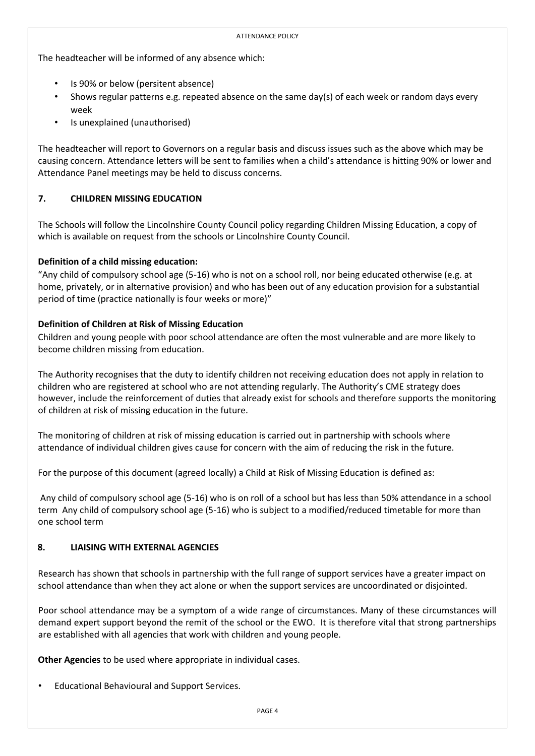The headteacher will be informed of any absence which:

- Is 90% or below (persitent absence)
- Shows regular patterns e.g. repeated absence on the same day(s) of each week or random days every week
- Is unexplained (unauthorised)

The headteacher will report to Governors on a regular basis and discuss issues such as the above which may be causing concern. Attendance letters will be sent to families when a child's attendance is hitting 90% or lower and Attendance Panel meetings may be held to discuss concerns.

# **7. CHILDREN MISSING EDUCATION**

The Schools will follow the Lincolnshire County Council policy regarding Children Missing Education, a copy of which is available on request from the schools or Lincolnshire County Council.

# **Definition of a child missing education:**

"Any child of compulsory school age (5-16) who is not on a school roll, nor being educated otherwise (e.g. at home, privately, or in alternative provision) and who has been out of any education provision for a substantial period of time (practice nationally is four weeks or more)"

# **Definition of Children at Risk of Missing Education**

Children and young people with poor school attendance are often the most vulnerable and are more likely to become children missing from education.

The Authority recognises that the duty to identify children not receiving education does not apply in relation to children who are registered at school who are not attending regularly. The Authority's CME strategy does however, include the reinforcement of duties that already exist for schools and therefore supports the monitoring of children at risk of missing education in the future.

The monitoring of children at risk of missing education is carried out in partnership with schools where attendance of individual children gives cause for concern with the aim of reducing the risk in the future.

For the purpose of this document (agreed locally) a Child at Risk of Missing Education is defined as:

Any child of compulsory school age (5-16) who is on roll of a school but has less than 50% attendance in a school term Any child of compulsory school age (5-16) who is subject to a modified/reduced timetable for more than one school term

# **8. LIAISING WITH EXTERNAL AGENCIES**

Research has shown that schools in partnership with the full range of support services have a greater impact on school attendance than when they act alone or when the support services are uncoordinated or disjointed.

Poor school attendance may be a symptom of a wide range of circumstances. Many of these circumstances will demand expert support beyond the remit of the school or the EWO. It is therefore vital that strong partnerships are established with all agencies that work with children and young people.

**Other Agencies** to be used where appropriate in individual cases.

• Educational Behavioural and Support Services.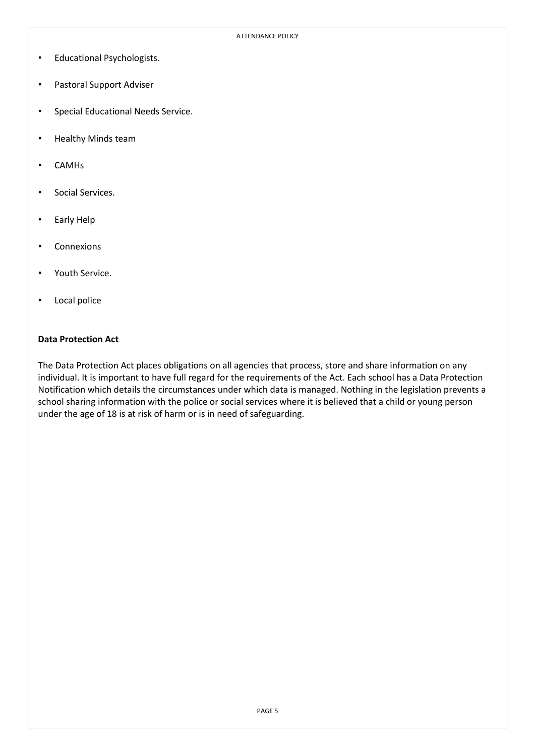- Educational Psychologists.
- Pastoral Support Adviser
- Special Educational Needs Service.
- Healthy Minds team
- CAMHs
- Social Services.
- Early Help
- Connexions
- Youth Service.
- Local police

#### **Data Protection Act**

The Data Protection Act places obligations on all agencies that process, store and share information on any individual. It is important to have full regard for the requirements of the Act. Each school has a Data Protection Notification which details the circumstances under which data is managed. Nothing in the legislation prevents a school sharing information with the police or social services where it is believed that a child or young person under the age of 18 is at risk of harm or is in need of safeguarding.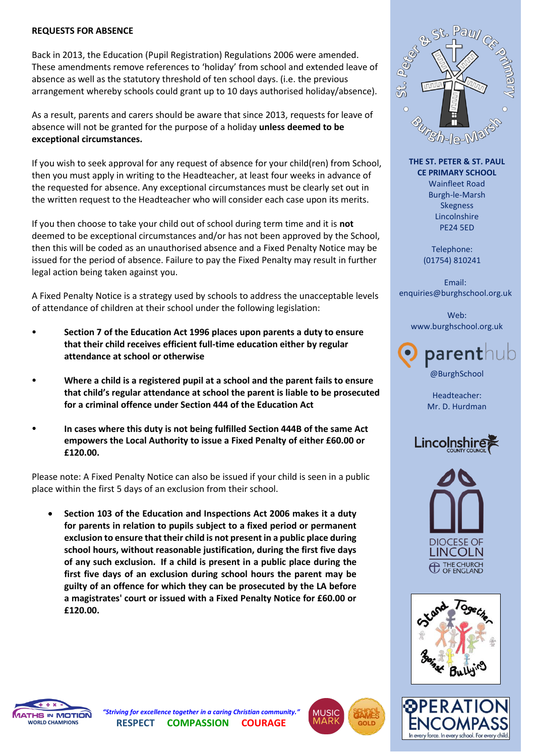#### **REQUESTS FOR ABSENCE**

Back in 2013, the Education (Pupil Registration) Regulations 2006 were amended. These amendments remove references to 'holiday' from school and extended leave of absence as well as the statutory threshold of ten school days. (i.e. the previous arrangement whereby schools could grant up to 10 days authorised holiday/absence).

As a result, parents and carers should be aware that since 2013, requests for leave of absence will not be granted for the purpose of a holiday **unless deemed to be exceptional circumstances.**

If you wish to seek approval for any request of absence for your child(ren) from School, then you must apply in writing to the Headteacher, at least four weeks in advance of the requested for absence. Any exceptional circumstances must be clearly set out in the written request to the Headteacher who will consider each case upon its merits.

If you then choose to take your child out of school during term time and it is **not**  deemed to be exceptional circumstances and/or has not been approved by the School, then this will be coded as an unauthorised absence and a Fixed Penalty Notice may be issued for the period of absence. Failure to pay the Fixed Penalty may result in further legal action being taken against you.

A Fixed Penalty Notice is a strategy used by schools to address the unacceptable levels of attendance of children at their school under the following legislation:

- **Section 7 of the Education Act 1996 places upon parents a duty to ensure that their child receives efficient full-time education either by regular attendance at school or otherwise**
- **Where a child is a registered pupil at a school and the parent fails to ensure that child's regular attendance at school the parent is liable to be prosecuted for a criminal offence under Section 444 of the Education Act**
- **In cases where this duty is not being fulfilled Section 444B of the same Act empowers the Local Authority to issue a Fixed Penalty of either £60.00 or £120.00.**

Please note: A Fixed Penalty Notice can also be issued if your child is seen in a public place within the first 5 days of an exclusion from their school.

 **Section 103 of the Education and Inspections Act 2006 makes it a duty for parents in relation to pupils subject to a fixed period or permanent exclusion to ensure that their child is not present in a public place during school hours, without reasonable justification, during the first five days of any such exclusion. If a child is present in a public place during the first five days of an exclusion during school hours the parent may be guilty of an offence for which they can be prosecuted by the LA before a magistrates' court or issued with a Fixed Penalty Notice for £60.00 or £120.00.**



**THE ST. PETER & ST. PAUL CE PRIMARY SCHOOL** Wainfleet Road Burgh-le-Marsh Skegness Lincolnshire PE24 5ED

> Telephone: (01754) 810241

Email: enquiries@burghschool.org.uk

Web: [www.burghschool.org.uk](http://www.burghschool.org.uk/)



Headteacher: Mr. D. Hurdman









*"Striving for excellence together in a caring Christian community."* **RESPECT COMPASSION COURAGE**